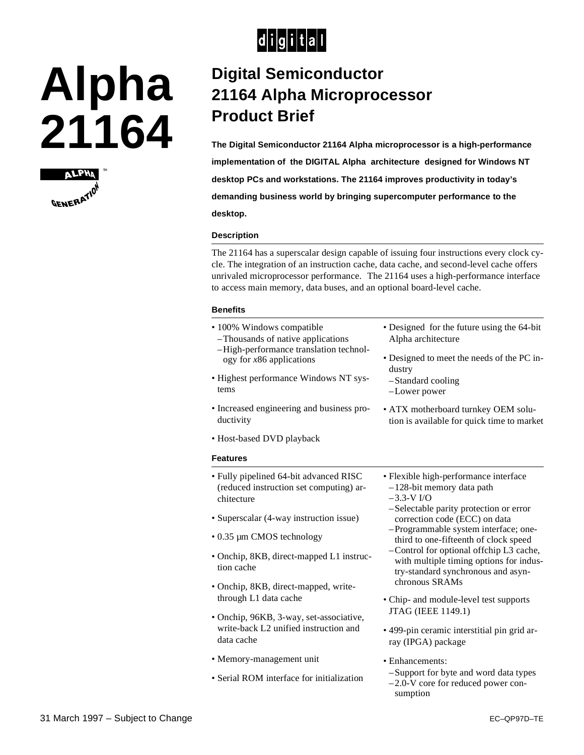

# **Alpha 21164**



## **Digital Semiconductor 21164 Alpha Microprocessor Product Brief**

**The Digital Semiconductor 21164 Alpha microprocessor is a high-performance implementation of the DIGITAL Alpha architecture designed for Windows NT desktop PCs and workstations. The 21164 improves productivity in today's demanding business world by bringing supercomputer performance to the desktop.**

#### **Description**

The 21164 has a superscalar design capable of issuing four instructions every clock cycle. The integration of an instruction cache, data cache, and second-level cache offers unrivaled microprocessor performance. The 21164 uses a high-performance interface to access main memory, data buses, and an optional board-level cache.

#### **Benefits**

- 100% Windows compatible
- –Thousands of native applications –High-performance translation technology for *x*86 applications
- Highest performance Windows NT systems
- Increased engineering and business productivity
- Host-based DVD playback

#### **Features**

- Fully pipelined 64-bit advanced RISC (reduced instruction set computing) architecture
- Superscalar (4-way instruction issue)
- 0.35 µm CMOS technology
- Onchip, 8KB, direct-mapped L1 instruction cache
- Onchip, 8KB, direct-mapped, writethrough L1 data cache
- Onchip, 96KB, 3-way, set-associative, write-back L2 unified instruction and data cache
- Memory-management unit
- Serial ROM interface for initialization

Alpha architecture • Designed to meet the needs of the PC in-

• Designed for the future using the 64-bit

- dustry –Standard cooling
- –Lower power
- ATX motherboard turnkey OEM solution is available for quick time to market
- Flexible high-performance interface –128-bit memory data path
- $-3.3-V$  I/O
- –Selectable parity protection or error correction code (ECC) on data
- –Programmable system interface; onethird to one-fifteenth of clock speed
- –Control for optional offchip L3 cache, with multiple timing options for industry-standard synchronous and asynchronous SRAMs
- Chip- and module-level test supports JTAG (IEEE 1149.1)
- 499-pin ceramic interstitial pin grid array (IPGA) package
- Enhancements:
- –Support for byte and word data types –2.0-V core for reduced power consumption